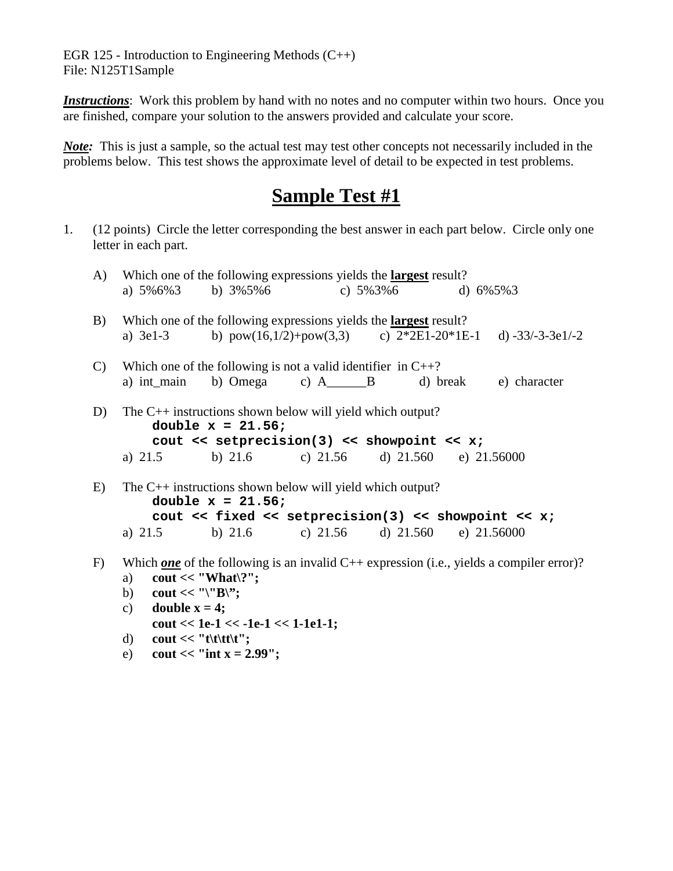EGR 125 - Introduction to Engineering Methods  $(C++)$ File: N125T1Sample

*Instructions*: Work this problem by hand with no notes and no computer within two hours. Once you are finished, compare your solution to the answers provided and calculate your score.

*Note*: This is just a sample, so the actual test may test other concepts not necessarily included in the problems below. This test shows the approximate level of detail to be expected in test problems.

## **Sample Test #1**

1. (12 points) Circle the letter corresponding the best answer in each part below. Circle only one letter in each part.

| A)           | Which one of the following expressions yields the <b>largest</b> result? |                                      |                                                                                                                                                                      |  |  |                                                                                                   |  |
|--------------|--------------------------------------------------------------------------|--------------------------------------|----------------------------------------------------------------------------------------------------------------------------------------------------------------------|--|--|---------------------------------------------------------------------------------------------------|--|
|              |                                                                          |                                      | a) $5\%6\%3$ b) $3\%5\%6$ c) $5\%3\%6$ d) $6\%5\%3$                                                                                                                  |  |  |                                                                                                   |  |
| B)           |                                                                          |                                      | Which one of the following expressions yields the <b>largest</b> result?                                                                                             |  |  | a) 3e1-3 b) $pow(16,1/2)+pow(3,3)$ c) $2*2E1-20*1E-1$ d) -33/-3-3e1/-2                            |  |
| $\mathbf{C}$ |                                                                          |                                      | Which one of the following is not a valid identifier in $C++?$<br>a) int_main b) Omega c) A_____B d) break e) character                                              |  |  |                                                                                                   |  |
| D)           | The $C_{++}$ instructions shown below will yield which output?           | double $x = 21.56$ ;                 | cout $\lt$ setprecision(3) $\lt$ showpoint $\lt$ x;<br>a) $21.5$ b) $21.6$ c) $21.56$ d) $21.560$ e) $21.56000$                                                      |  |  |                                                                                                   |  |
| E)           | a) $21.5$                                                                | double $x = 21.56$ ;                 | The $C++$ instructions shown below will yield which output?<br>cout $<<$ fixed $<<$ setprecision(3) $<<$ showpoint $<<$ x;<br>b) 21.6 c) 21.56 d) 21.560 e) 21.56000 |  |  |                                                                                                   |  |
| F)           | a)                                                                       | $\text{cout} \ll \text{``What ?''};$ |                                                                                                                                                                      |  |  | Which <u>one</u> of the following is an invalid $C++$ expression (i.e., yields a compiler error)? |  |

- b) **cout << "\"B\";**
- c) **double**  $x = 4$ **;** 
	- **cout << 1e-1 << -1e-1 << 1-1e1-1;**
- d) **cout** << "**t**\t\t**t\t''**;
- e) **cout** << "int **x** = 2.99";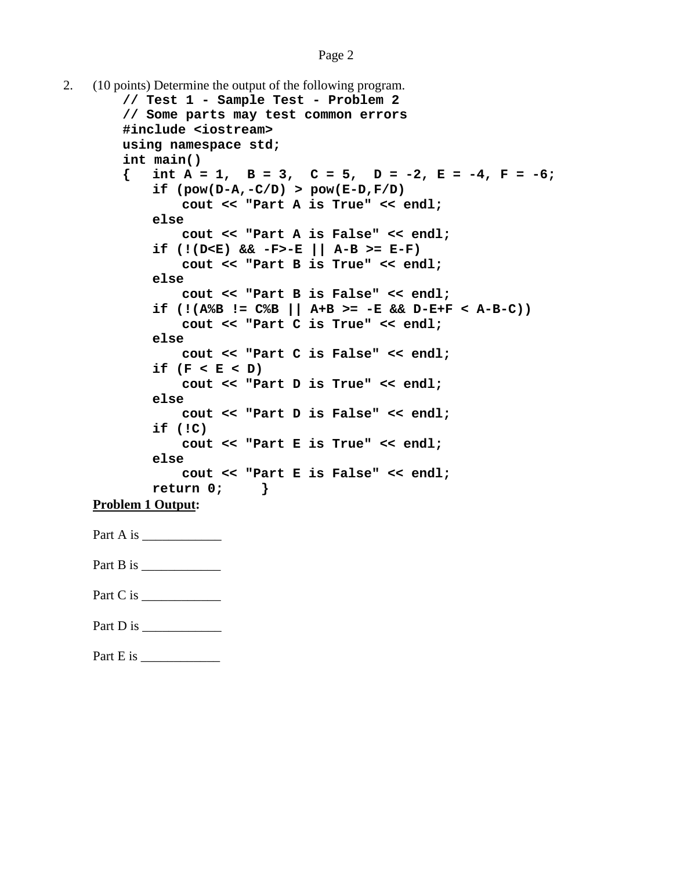```
2. (10 points) Determine the output of the following program.
        // Test 1 - Sample Test - Problem 2
        // Some parts may test common errors
       #include <iostream>
       using namespace std;
        int main()
        { int A = 1, B = 3, C = 5, D = -2, E = -4, F = -6;
           if (pow(D-A,-C/D) > pow(E-D,F/D)
               cout << "Part A is True" << endl;
           else
               cout << "Part A is False" << endl;
            if (!(D<E) && -F>-E || A-B >= E-F)
               cout << "Part B is True" << endl;
           else
               cout << "Part B is False" << endl;
            if (!(A%B != C%B || A+B >= -E && D-E+F < A-B-C))
               cout << "Part C is True" << endl;
           else
               cout << "Part C is False" << endl;
            if (F < E < D)
               cout << "Part D is True" << endl;
           else
               cout << "Part D is False" << endl;
            if (!C)
               cout << "Part E is True" << endl;
           else
               cout << "Part E is False" << endl;
           return 0; }
   Problem 1 Output:
   Part A is \frac{1}{\sqrt{2\pi}}Part B is
   Part C is ____________
   Part D is
   Part E is ____________
```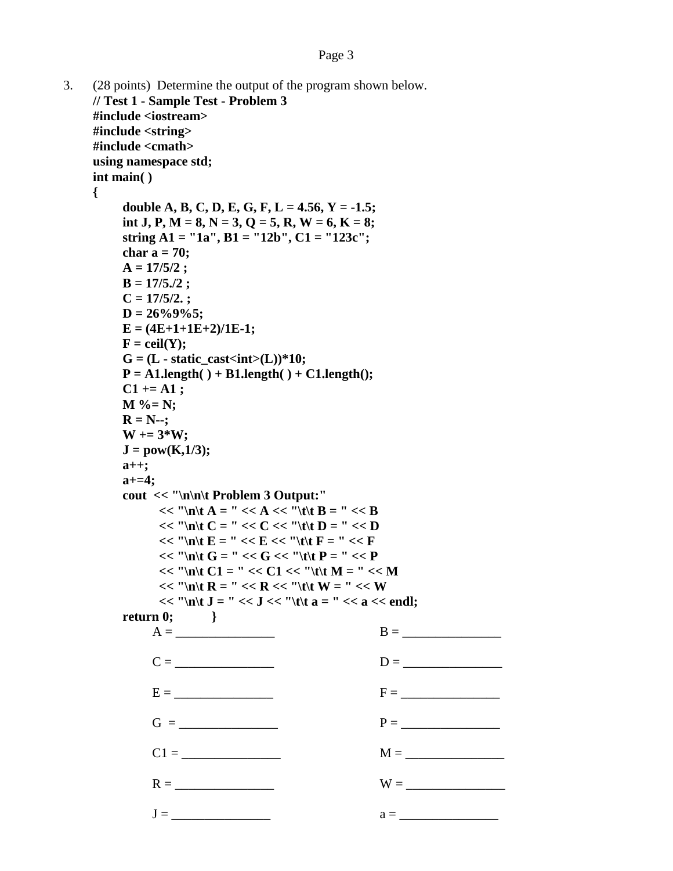```
3. (28 points) Determine the output of the program shown below.
    // Test 1 - Sample Test - Problem 3
    #include <iostream>
    #include <string>
    #include <cmath>
     using namespace std;
    int main( )
    {
         double A, B, C, D, E, G, F, L = 4.56, Y = -1.5;
         int J, P, M = 8, N = 3, Q = 5, R, W = 6, K = 8;
         string A1 = "1a", B1 = "12b", C1 = "123c";
         char a = 70;
         A = 17/5/2 ;
         B = 17/5./2 ;
         C = 17/5/2. ;
         D = 26%9%5;
         E = (4E+1+1E+2)/1E-1;
         F = \text{ceil}(Y);
         G = (L - \text{static } \text{cast} < \text{int}) \cdot (L)) \cdot 10;P = A1.length( ) + B1.length( ) + C1.length();
         C1 += A1 ;
         M %= N;
         R = N -;
         W += 3*W;
         J = pow(K, 1/3);a++;
         a+=4;
         cout << "\n\n\t Problem 3 Output:"
               << "\ln\{t\} A = " << A << "\{t\} B = " << B
               << "'n\t C = " << C << "'t\t D = " << D
               << "\vert n \vert t \vert E = " << E << "\vert t \vert t \vert F = " << F<< "\ln\left(t G =" << G << "\left(t f P =" << P<< "\ln\left|t\right| C1 = " << C1 << "\left|t\right|t\left|t\right| M = " << M
               << "\ln\{R = " << R << "\|t\|t W = " << W
               << "'\n\t J = " << J << "\t\t a = " << a << endl;
         return 0; }
              A = \BoxC = \begin{array}{ccc} \hline \text{C =} & \text{D =} \end{array}E = F =
              G = _______________ P = _______________
              C1 = \_R = \n\begin{array}{ccc}\n & & W = \n\end{array}J = _______________ a = _______________
```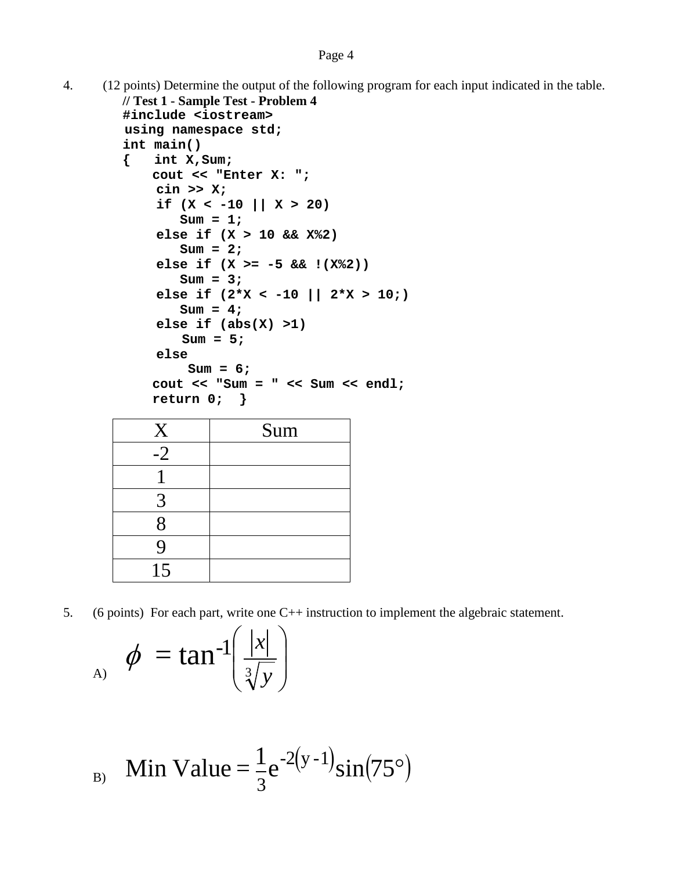```
4. (12 points) Determine the output of the following program for each input indicated in the table.
        // Test 1 - Sample Test - Problem 4
        #include <iostream>
         using namespace std;
        int main()
        { int X,Sum;
            cout << "Enter X: ";
              cin >> X;
              if (X < -10 || X > 20)
                 Sum = 1;
              else if (X > 10 && X%2)
                 Sum = 2;
              else if (X >= -5 && !(X%2))
                 Sum = 3;
              else if (2*X < -10 || 2*X > 10;) 
                 Sum = 4;
              else if (abs(X) >1) 
                Sum = 5;
              else
                  Sum = 6;
            cout << "Sum = " << Sum << endl;
            return 0; }
            X Sum
            -2
             1
             3
```

5. (6 points) For each part, write one C++ instruction to implement the algebraic statement.

$$
\phi = \tan^{-1}\left(\frac{|x|}{\sqrt[3]{y}}\right)
$$

$$
B_{\rm B} \quad \text{Min Value} = \frac{1}{3} e^{-2(y-1)} \sin(75^{\circ})
$$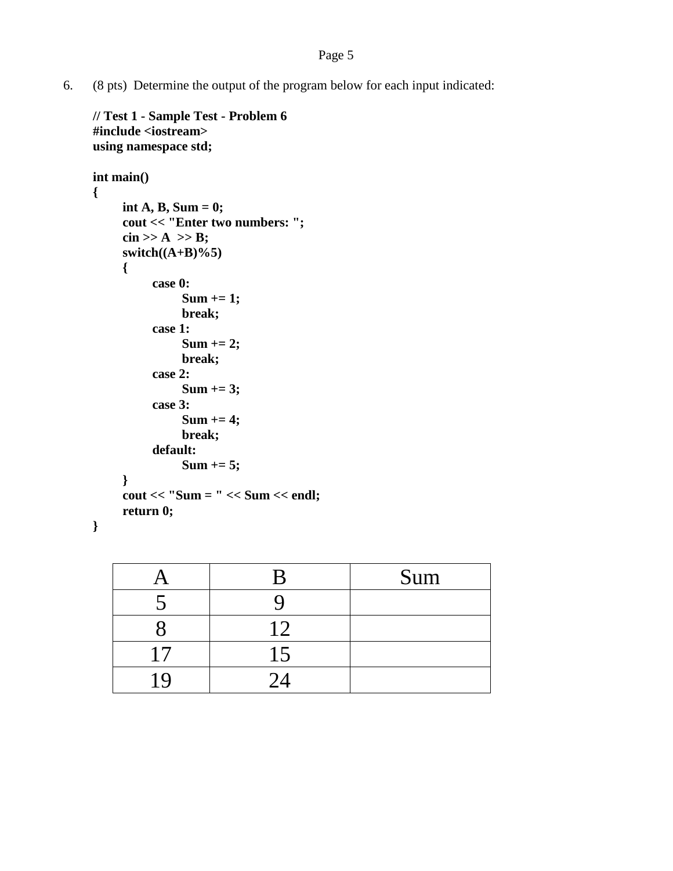6. (8 pts) Determine the output of the program below for each input indicated:

```
// Test 1 - Sample Test - Problem 6
#include <iostream>
using namespace std;
int main()
{
     int A, B, Sum = 0;
     cout << "Enter two numbers: ";
     \operatorname{cin} >> A >> B;switch((A+B)%5)
     {
          case 0:
               Sum += 1;
               break;
          case 1:
               Sum += 2;
               break;
          case 2:
               Sum += 3;
          case 3:
               Sum += 4;
               break;
          default:
               Sum += 5;
     }
     cout << "Sum = " << Sum << endl;
     return 0;
}
```

|    | Sum |
|----|-----|
|    |     |
|    |     |
| 17 |     |
|    |     |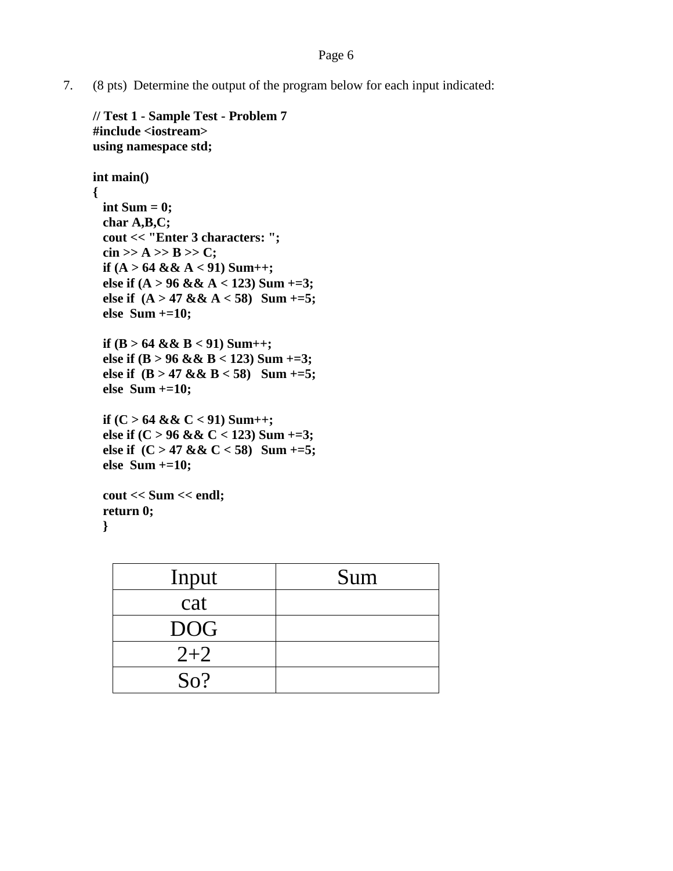## Page 6

7. (8 pts) Determine the output of the program below for each input indicated:

```
// Test 1 - Sample Test - Problem 7
#include <iostream>
using namespace std;
int main()
{
 int Sum = 0;
 char A,B,C;
 cout << "Enter 3 characters: ";
 \operatorname{cin} >> A >> B >> C;if (A > 64 && A < 91) Sum++;
 else if (A > 96 && A < 123) Sum +=3;
 else if (A > 47 && A < 58) Sum +=5;
 else Sum +=10;
 if (B > 64 && B < 91) Sum++;
 else if (B > 96 && B < 123) Sum +=3;
 else if (B > 47 && B < 58) Sum +=5;
 else Sum +=10;
 if (C > 64 && C < 91) Sum++;
 else if (C > 96 && C < 123) Sum +=3;
 else if (C > 47 && C < 58) Sum +=5;
 else Sum +=10;
 cout << Sum << endl;
 return 0;
  }
```

| Input      | Sum |
|------------|-----|
| cat        |     |
| <b>DOG</b> |     |
| $2 + 2$    |     |
| So?        |     |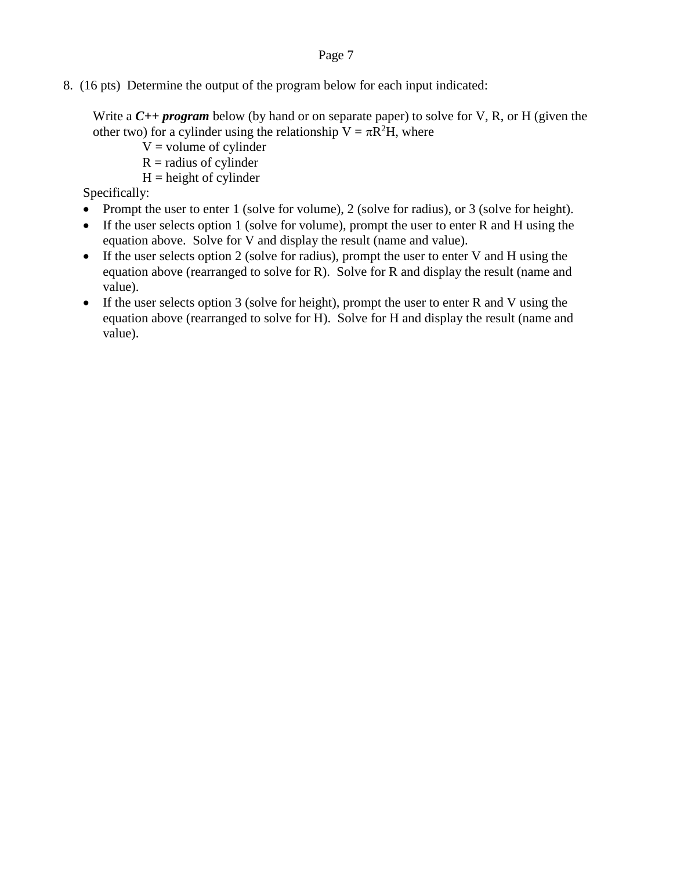## Page 7

8. (16 pts) Determine the output of the program below for each input indicated:

Write a *C++ program* below (by hand or on separate paper) to solve for V, R, or H (given the other two) for a cylinder using the relationship  $V = \pi R^2 H$ , where

- $V =$  volume of cylinder
- $R =$  radius of cylinder
- $H =$  height of cylinder

Specifically:

- Prompt the user to enter 1 (solve for volume), 2 (solve for radius), or 3 (solve for height).
- If the user selects option 1 (solve for volume), prompt the user to enter R and H using the equation above. Solve for V and display the result (name and value).
- If the user selects option 2 (solve for radius), prompt the user to enter V and H using the equation above (rearranged to solve for R). Solve for R and display the result (name and value).
- If the user selects option 3 (solve for height), prompt the user to enter R and V using the equation above (rearranged to solve for H). Solve for H and display the result (name and value).